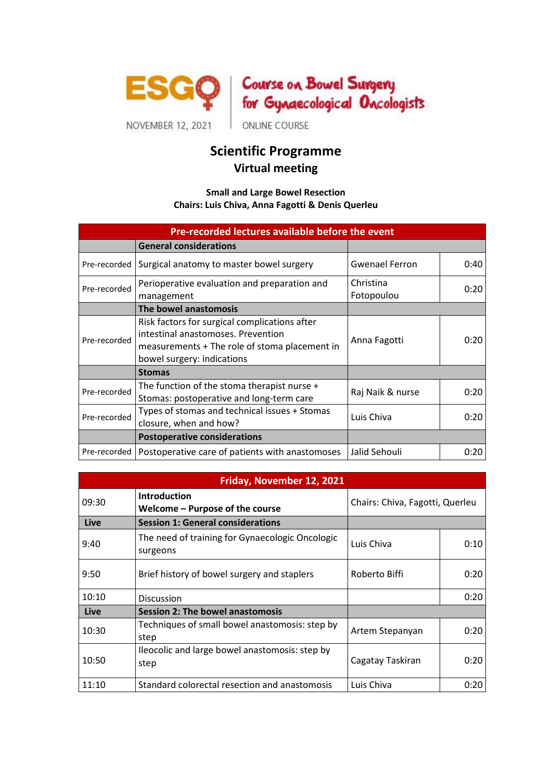



ONLINE COURSE

## **Scientific Programme Virtual meeting**

## **Small and Large Bowel Resection Chairs: Luis Chiva, Anna Fagotti & Denis Querleu**

| Pre-recorded lectures available before the event |                                                                                                                                                                    |                         |      |  |  |
|--------------------------------------------------|--------------------------------------------------------------------------------------------------------------------------------------------------------------------|-------------------------|------|--|--|
|                                                  | <b>General considerations</b>                                                                                                                                      |                         |      |  |  |
| Pre-recorded                                     | Surgical anatomy to master bowel surgery                                                                                                                           | <b>Gwenael Ferron</b>   | 0:40 |  |  |
| Pre-recorded                                     | Perioperative evaluation and preparation and<br>management                                                                                                         | Christina<br>Fotopoulou | 0:20 |  |  |
|                                                  | The bowel anastomosis                                                                                                                                              |                         |      |  |  |
| Pre-recorded                                     | Risk factors for surgical complications after<br>intestinal anastomoses. Prevention<br>measurements + The role of stoma placement in<br>bowel surgery: indications | Anna Fagotti            | 0:20 |  |  |
|                                                  | <b>Stomas</b>                                                                                                                                                      |                         |      |  |  |
| Pre-recorded                                     | The function of the stoma therapist nurse +<br>Stomas: postoperative and long-term care                                                                            | Raj Naik & nurse        | 0:20 |  |  |
| Pre-recorded                                     | Types of stomas and technical issues + Stomas<br>closure, when and how?                                                                                            | Luis Chiva              | 0:20 |  |  |
|                                                  | <b>Postoperative considerations</b>                                                                                                                                |                         |      |  |  |
| Pre-recorded                                     | Postoperative care of patients with anastomoses                                                                                                                    | Jalid Sehouli           | 0:20 |  |  |

| Friday, November 12, 2021 |                                                             |                                 |      |  |  |
|---------------------------|-------------------------------------------------------------|---------------------------------|------|--|--|
| 09:30                     | <b>Introduction</b><br>Welcome - Purpose of the course      | Chairs: Chiva, Fagotti, Querleu |      |  |  |
| Live                      | <b>Session 1: General considerations</b>                    |                                 |      |  |  |
| 9:40                      | The need of training for Gynaecologic Oncologic<br>surgeons | Luis Chiva                      | 0:10 |  |  |
| 9:50                      | Brief history of bowel surgery and staplers                 | Roberto Biffi                   | 0:20 |  |  |
| 10:10                     | <b>Discussion</b>                                           |                                 | 0:20 |  |  |
| Live                      | Session 2: The bowel anastomosis                            |                                 |      |  |  |
| 10:30                     | Techniques of small bowel anastomosis: step by<br>step      | Artem Stepanyan                 | 0:20 |  |  |
| 10:50                     | Ileocolic and large bowel anastomosis: step by<br>step      | Cagatay Taskiran                | 0:20 |  |  |
| 11:10                     | Standard colorectal resection and anastomosis               | Luis Chiva                      | 0:20 |  |  |